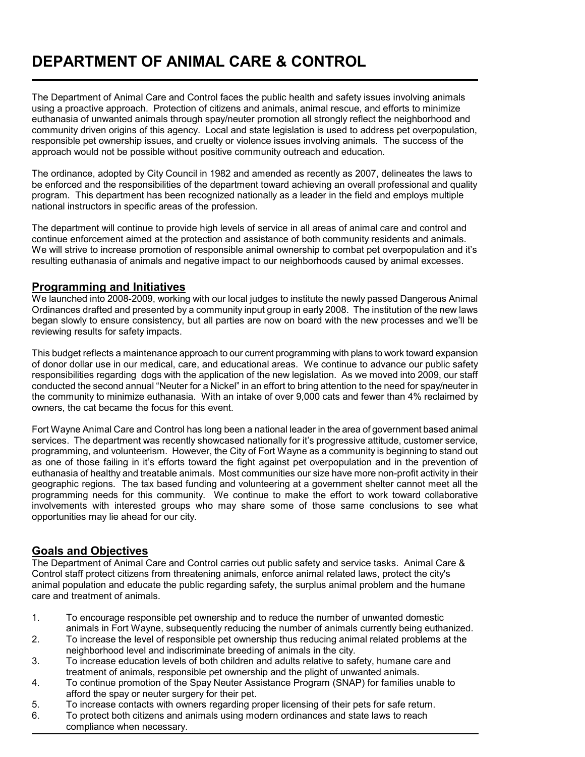# **DEPARTMENT OF ANIMAL CARE & CONTROL**

The Department of Animal Care and Control faces the public health and safety issues involving animals using a proactive approach. Protection of citizens and animals, animal rescue, and efforts to minimize euthanasia of unwanted animals through spay/neuter promotion all strongly reflect the neighborhood and community driven origins of this agency. Local and state legislation is used to address pet overpopulation, responsible pet ownership issues, and cruelty or violence issues involving animals. The success of the approach would not be possible without positive community outreach and education.

The ordinance, adopted by City Council in 1982 and amended as recently as 2007, delineates the laws to be enforced and the responsibilities of the department toward achieving an overall professional and quality program. This department has been recognized nationally as a leader in the field and employs multiple national instructors in specific areas of the profession.

The department will continue to provide high levels of service in all areas of animal care and control and continue enforcement aimed at the protection and assistance of both community residents and animals. We will strive to increase promotion of responsible animal ownership to combat pet overpopulation and it's resulting euthanasia of animals and negative impact to our neighborhoods caused by animal excesses.

#### **Programming and Initiatives**

L

We launched into 2008-2009, working with our local judges to institute the newly passed Dangerous Animal Ordinances drafted and presented by a community input group in early 2008. The institution of the new laws began slowly to ensure consistency, but all parties are now on board with the new processes and we'll be reviewing results for safety impacts.

This budget reflects a maintenance approach to our current programming with plans to work toward expansion of donor dollar use in our medical, care, and educational areas. We continue to advance our public safety responsibilities regarding dogs with the application of the new legislation. As we moved into 2009, our staff conducted the second annual "Neuter for a Nickel" in an effort to bring attention to the need for spay/neuter in the community to minimize euthanasia. With an intake of over 9,000 cats and fewer than 4% reclaimed by owners, the cat became the focus for this event.

Fort Wayne Animal Care and Control has long been a national leader in the area of government based animal services. The department was recently showcased nationally for it's progressive attitude, customer service, programming, and volunteerism. However, the City of Fort Wayne as a community is beginning to stand out as one of those failing in it's efforts toward the fight against pet overpopulation and in the prevention of euthanasia of healthy and treatable animals. Most communities our size have more non-profit activity in their geographic regions. The tax based funding and volunteering at a government shelter cannot meet all the programming needs for this community. We continue to make the effort to work toward collaborative involvements with interested groups who may share some of those same conclusions to see what opportunities may lie ahead for our city.

### **Goals and Objectives**

The Department of Animal Care and Control carries out public safety and service tasks. Animal Care & Control staff protect citizens from threatening animals, enforce animal related laws, protect the city's animal population and educate the public regarding safety, the surplus animal problem and the humane care and treatment of animals.

- 1. To encourage responsible pet ownership and to reduce the number of unwanted domestic animals in Fort Wayne, subsequently reducing the number of animals currently being euthanized.
- 2. To increase the level of responsible pet ownership thus reducing animal related problems at the neighborhood level and indiscriminate breeding of animals in the city.
- 3. To increase education levels of both children and adults relative to safety, humane care and treatment of animals, responsible pet ownership and the plight of unwanted animals.
- 4. To continue promotion of the Spay Neuter Assistance Program (SNAP) for families unable to afford the spay or neuter surgery for their pet.
- 5. To increase contacts with owners regarding proper licensing of their pets for safe return.
- 6. To protect both citizens and animals using modern ordinances and state laws to reach compliance when necessary.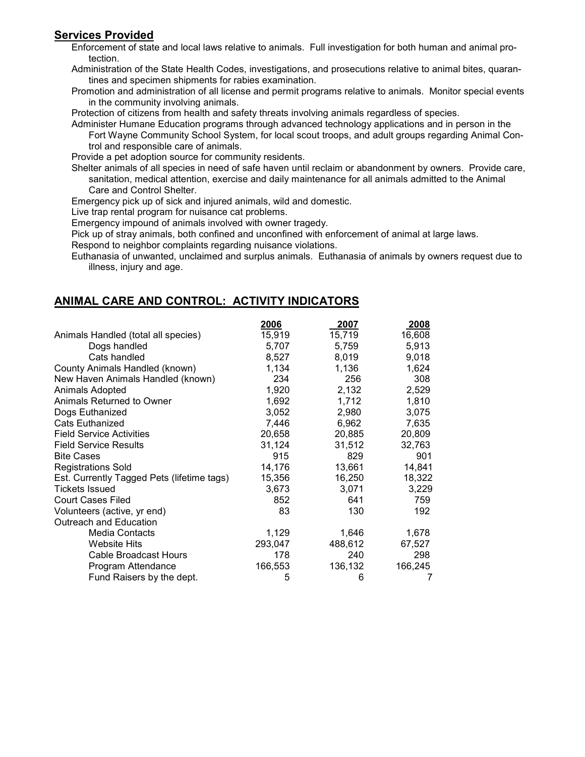# **Services Provided**

Enforcement of state and local laws relative to animals. Full investigation for both human and animal protection.

Administration of the State Health Codes, investigations, and prosecutions relative to animal bites, quarantines and specimen shipments for rabies examination.

Promotion and administration of all license and permit programs relative to animals. Monitor special events in the community involving animals.

Protection of citizens from health and safety threats involving animals regardless of species.

Administer Humane Education programs through advanced technology applications and in person in the Fort Wayne Community School System, for local scout troops, and adult groups regarding Animal Control and responsible care of animals.

Provide a pet adoption source for community residents.

Shelter animals of all species in need of safe haven until reclaim or abandonment by owners. Provide care, sanitation, medical attention, exercise and daily maintenance for all animals admitted to the Animal Care and Control Shelter.

Emergency pick up of sick and injured animals, wild and domestic.

Live trap rental program for nuisance cat problems.

Emergency impound of animals involved with owner tragedy.

Pick up of stray animals, both confined and unconfined with enforcement of animal at large laws.

Respond to neighbor complaints regarding nuisance violations.

Euthanasia of unwanted, unclaimed and surplus animals. Euthanasia of animals by owners request due to illness, injury and age.

## **ANIMAL CARE AND CONTROL: ACTIVITY INDICATORS**

|                                            | 2006    | 2007    | 2008    |
|--------------------------------------------|---------|---------|---------|
| Animals Handled (total all species)        | 15,919  | 15,719  | 16,608  |
| Dogs handled                               | 5,707   | 5,759   | 5,913   |
| Cats handled                               | 8,527   | 8,019   | 9,018   |
| County Animals Handled (known)             | 1,134   | 1,136   | 1,624   |
| New Haven Animals Handled (known)          | 234     | 256     | 308     |
| Animals Adopted                            | 1,920   | 2,132   | 2,529   |
| Animals Returned to Owner                  | 1,692   | 1,712   | 1,810   |
| Dogs Euthanized                            | 3,052   | 2,980   | 3,075   |
| <b>Cats Euthanized</b>                     | 7,446   | 6,962   | 7,635   |
| <b>Field Service Activities</b>            | 20,658  | 20,885  | 20,809  |
| <b>Field Service Results</b>               | 31,124  | 31,512  | 32,763  |
| <b>Bite Cases</b>                          | 915     | 829     | 901     |
| <b>Registrations Sold</b>                  | 14,176  | 13,661  | 14,841  |
| Est. Currently Tagged Pets (lifetime tags) | 15,356  | 16,250  | 18,322  |
| <b>Tickets Issued</b>                      | 3,673   | 3,071   | 3,229   |
| Court Cases Filed                          | 852     | 641     | 759     |
| Volunteers (active, yr end)                | 83      | 130     | 192     |
| Outreach and Education                     |         |         |         |
| Media Contacts                             | 1,129   | 1,646   | 1,678   |
| <b>Website Hits</b>                        | 293,047 | 488,612 | 67,527  |
| <b>Cable Broadcast Hours</b>               | 178     | 240     | 298     |
| Program Attendance                         | 166,553 | 136,132 | 166,245 |
| Fund Raisers by the dept.                  | 5       | 6       |         |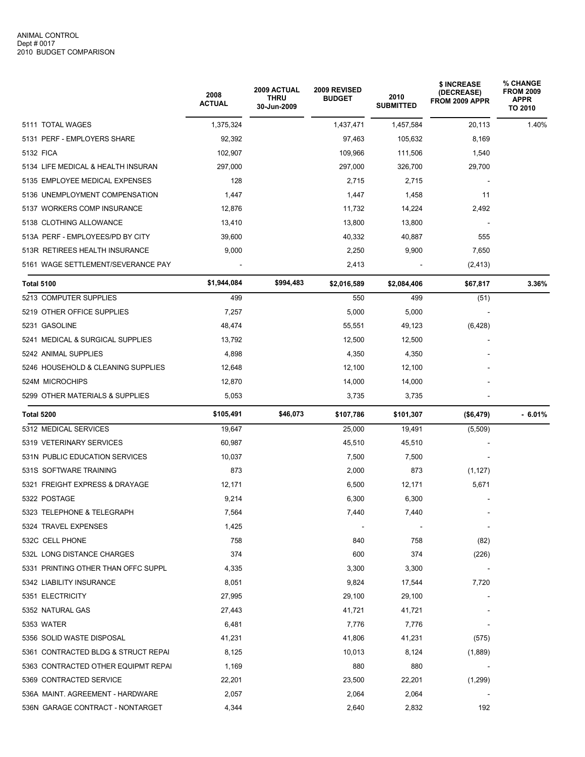|                                     | 2008<br><b>ACTUAL</b> | <b>2009 ACTUAL</b><br><b>THRU</b><br>30-Jun-2009 | 2009 REVISED<br><b>BUDGET</b> | 2010<br><b>SUBMITTED</b> | \$ INCREASE<br>(DECREASE)<br>FROM 2009 APPR | <b>% CHANGE</b><br><b>FROM 2009</b><br>APPR<br>TO 2010 |  |
|-------------------------------------|-----------------------|--------------------------------------------------|-------------------------------|--------------------------|---------------------------------------------|--------------------------------------------------------|--|
| 5111 TOTAL WAGES                    | 1,375,324             |                                                  | 1,437,471                     | 1,457,584                | 20,113                                      | 1.40%                                                  |  |
| 5131 PERF - EMPLOYERS SHARE         | 92,392                | 97,463<br>105,632                                |                               | 8,169                    |                                             |                                                        |  |
| 5132 FICA                           | 102,907               | 109,966<br>111,506                               |                               | 1,540                    |                                             |                                                        |  |
| 5134 LIFE MEDICAL & HEALTH INSURAN  | 297,000               |                                                  | 297,000                       | 326,700                  | 29,700                                      |                                                        |  |
| 5135 EMPLOYEE MEDICAL EXPENSES      | 128                   |                                                  | 2,715                         | 2,715                    |                                             |                                                        |  |
| 5136 UNEMPLOYMENT COMPENSATION      | 1,447                 |                                                  | 1,447                         | 1,458                    | 11                                          |                                                        |  |
| 5137 WORKERS COMP INSURANCE         | 12,876                |                                                  | 11,732                        | 14,224                   | 2,492                                       |                                                        |  |
| 5138 CLOTHING ALLOWANCE             | 13,410                |                                                  | 13,800                        | 13,800                   |                                             |                                                        |  |
| 513A PERF - EMPLOYEES/PD BY CITY    | 39,600                |                                                  | 40,332                        | 40,887                   | 555                                         |                                                        |  |
| 513R RETIREES HEALTH INSURANCE      | 9,000                 |                                                  | 2,250                         | 9,900                    | 7,650                                       |                                                        |  |
| 5161 WAGE SETTLEMENT/SEVERANCE PAY  |                       |                                                  | 2,413                         |                          | (2, 413)                                    |                                                        |  |
| <b>Total 5100</b>                   | \$1,944,084           | \$994,483                                        | \$2,016,589                   | \$2,084,406              | \$67,817                                    | 3.36%                                                  |  |
| 5213 COMPUTER SUPPLIES              | 499                   |                                                  | 550                           | 499                      | (51)                                        |                                                        |  |
| 5219 OTHER OFFICE SUPPLIES          | 7,257                 |                                                  | 5,000                         | 5,000                    |                                             |                                                        |  |
| 5231 GASOLINE                       | 48,474                |                                                  | 55,551                        | 49,123                   | (6, 428)                                    |                                                        |  |
| 5241 MEDICAL & SURGICAL SUPPLIES    | 13,792                |                                                  | 12,500                        | 12,500                   |                                             |                                                        |  |
| 5242 ANIMAL SUPPLIES                | 4,898                 |                                                  | 4,350                         | 4,350                    |                                             |                                                        |  |
| 5246 HOUSEHOLD & CLEANING SUPPLIES  | 12,648                |                                                  | 12,100                        | 12,100                   |                                             |                                                        |  |
| 524M MICROCHIPS                     | 12,870                |                                                  | 14,000                        | 14,000                   |                                             |                                                        |  |
| 5299 OTHER MATERIALS & SUPPLIES     | 5,053                 |                                                  | 3,735                         | 3,735                    |                                             |                                                        |  |
| Total 5200                          | \$105,491             | \$46,073                                         | \$107,786                     | \$101,307                | (\$6,479)                                   | $-6.01%$                                               |  |
| 5312 MEDICAL SERVICES               | 19,647                |                                                  | 25,000                        | 19,491                   | (5,509)                                     |                                                        |  |
| 5319 VETERINARY SERVICES            | 60,987                |                                                  | 45,510                        | 45,510                   |                                             |                                                        |  |
| 531N PUBLIC EDUCATION SERVICES      | 10,037                |                                                  | 7,500                         | 7,500                    |                                             |                                                        |  |
| 531S SOFTWARE TRAINING              | 873                   |                                                  | 2,000                         | 873                      | (1, 127)                                    |                                                        |  |
| 5321 FREIGHT EXPRESS & DRAYAGE      | 12,171                |                                                  | 6,500                         | 12,171                   | 5,671                                       |                                                        |  |
| 5322 POSTAGE                        | 9,214                 |                                                  | 6,300                         | 6,300                    |                                             |                                                        |  |
| 5323 TELEPHONE & TELEGRAPH          | 7,564                 |                                                  | 7,440                         | 7,440                    |                                             |                                                        |  |
| 5324 TRAVEL EXPENSES                | 1,425                 |                                                  |                               |                          |                                             |                                                        |  |
| 532C CELL PHONE                     | 758                   |                                                  | 840                           | 758                      | (82)                                        |                                                        |  |
| 532L LONG DISTANCE CHARGES          | 374                   |                                                  | 600                           | 374                      | (226)                                       |                                                        |  |
| 5331 PRINTING OTHER THAN OFFC SUPPL | 4,335                 |                                                  | 3,300                         | 3,300                    |                                             |                                                        |  |
| 5342 LIABILITY INSURANCE            | 8,051                 |                                                  | 9,824                         | 17,544                   | 7,720                                       |                                                        |  |
| 5351 ELECTRICITY                    | 27,995                |                                                  | 29,100                        | 29,100                   |                                             |                                                        |  |
| 5352 NATURAL GAS                    | 27,443                |                                                  | 41,721                        | 41,721                   |                                             |                                                        |  |
| 5353 WATER                          | 6,481                 |                                                  | 7,776                         | 7,776                    |                                             |                                                        |  |
| 5356 SOLID WASTE DISPOSAL           | 41,231                |                                                  | 41,806                        | 41,231                   | (575)                                       |                                                        |  |
| 5361 CONTRACTED BLDG & STRUCT REPAI | 8,125                 |                                                  | 10,013                        | 8,124                    | (1,889)                                     |                                                        |  |
| 5363 CONTRACTED OTHER EQUIPMT REPAI | 1,169                 |                                                  | 880                           | 880                      |                                             |                                                        |  |
| 5369 CONTRACTED SERVICE             | 22,201                |                                                  | 23,500                        | 22,201                   | (1,299)                                     |                                                        |  |
| 536A MAINT. AGREEMENT - HARDWARE    | 2,057                 |                                                  | 2,064                         | 2,064                    |                                             |                                                        |  |
| 536N GARAGE CONTRACT - NONTARGET    | 4,344                 |                                                  | 2,640                         | 2,832                    | 192                                         |                                                        |  |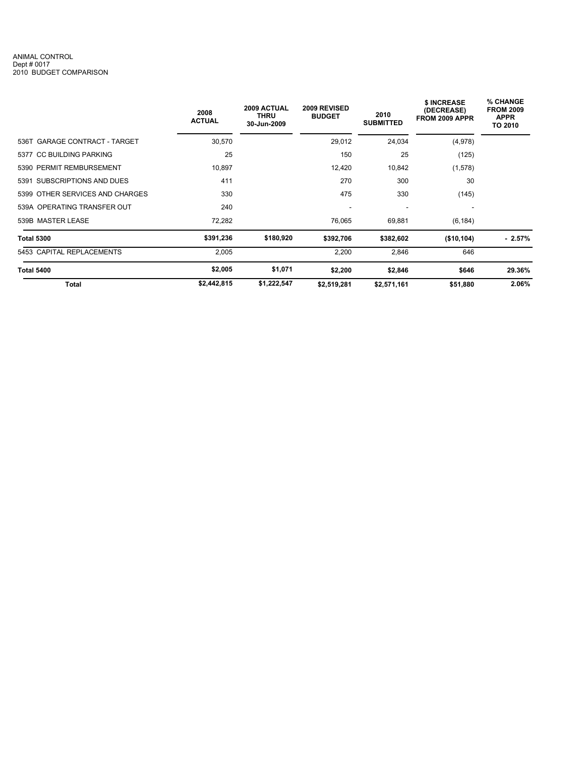#### ANIMAL CONTROL Dept # 0017 2010 BUDGET COMPARISON

|                                 | 2008<br><b>ACTUAL</b> | 2009 ACTUAL<br><b>THRU</b><br>30-Jun-2009 | 2009 REVISED<br><b>BUDGET</b> | 2010<br><b>SUBMITTED</b> | \$ INCREASE<br>(DECREASE)<br>FROM 2009 APPR | % CHANGE<br><b>FROM 2009</b><br><b>APPR</b><br>TO 2010 |
|---------------------------------|-----------------------|-------------------------------------------|-------------------------------|--------------------------|---------------------------------------------|--------------------------------------------------------|
| 536T GARAGE CONTRACT - TARGET   | 30,570                |                                           | 29,012                        | 24,034                   | (4,978)                                     |                                                        |
| 5377 CC BUILDING PARKING        | 25                    |                                           | 150                           | 25                       | (125)                                       |                                                        |
| 5390 PERMIT REMBURSEMENT        | 10,897                |                                           | 12,420                        | 10,842                   | (1,578)                                     |                                                        |
| 5391 SUBSCRIPTIONS AND DUES     | 411                   |                                           | 270                           | 300                      | 30                                          |                                                        |
| 5399 OTHER SERVICES AND CHARGES | 330                   |                                           | 475                           | 330                      | (145)                                       |                                                        |
| 539A OPERATING TRANSFER OUT     | 240                   |                                           | ٠                             | $\overline{\phantom{a}}$ | ٠                                           |                                                        |
| 539B MASTER LEASE               | 72,282                |                                           | 76,065                        | 69,881                   | (6, 184)                                    |                                                        |
| <b>Total 5300</b>               | \$391,236             | \$180,920                                 | \$392,706                     | \$382,602                | (\$10, 104)                                 | $-2.57\%$                                              |
| 5453 CAPITAL REPLACEMENTS       | 2,005                 |                                           | 2,200                         | 2,846                    | 646                                         |                                                        |
| <b>Total 5400</b>               | \$2,005               | \$1,071                                   | \$2,200                       | \$2,846                  | \$646                                       | 29.36%                                                 |
| Total                           | \$2,442,815           | \$1,222,547                               | \$2,519,281                   | \$2,571,161              | \$51,880                                    | 2.06%                                                  |